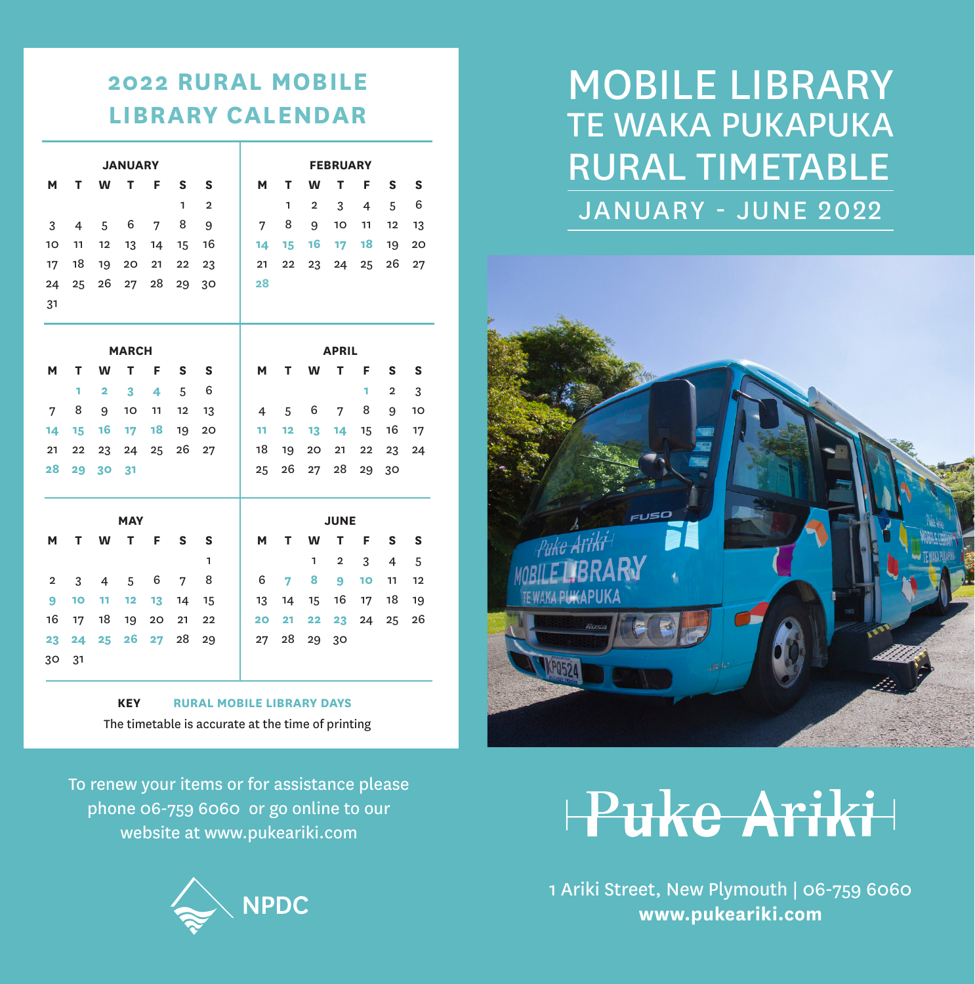#### **2022 RURAL MOBILE LIBRARY CALENDAR**

|                |                |                | <b>JANUARY</b> |    |              |                |                |    |                | <b>FEBRUARY</b>         |                 |                |    |
|----------------|----------------|----------------|----------------|----|--------------|----------------|----------------|----|----------------|-------------------------|-----------------|----------------|----|
| M              | т              | W              | T              | F  | S            | S              | М              | т  | W              | т                       | F               | S              | S  |
|                |                |                |                |    | $\mathbf{1}$ | $\overline{2}$ |                | 1  | $\overline{2}$ | 3                       | 4               | 5              | 6  |
| 3              | $\overline{4}$ | 5              | 6              | 7  | 8            | 9              | 7              | 8  | 9              | 10                      | 11              | 12             | 13 |
| 10             | 11             | 12             | 13             | 14 | 15           | 16             | 14             | 15 | 16             | 17                      | 18              | 19             | 20 |
| 17             | 18             | 19             | 20             | 21 | 22           | 23             | 21             | 22 | 23             | 24                      | 25              | 26             | 27 |
| 24             | 25             | 26             | 27             | 28 | 29           | 30             | 28             |    |                |                         |                 |                |    |
| 31             |                |                |                |    |              |                |                |    |                |                         |                 |                |    |
|                |                |                |                |    |              |                |                |    |                |                         |                 |                |    |
|                |                |                | <b>MARCH</b>   |    |              |                |                |    |                | <b>APRIL</b>            |                 |                |    |
| M              | т              | W              | т              | F  | S            | S              | М              | т  | W              | т                       | F               | S              | S  |
|                | 1              | $\overline{2}$ | 3              | 4  | 5            | 6              |                |    |                |                         | 1               | $\overline{2}$ | 3  |
| 7              | 8              | 9              | 10             | 11 | 12           | 13             | $\overline{4}$ | 5  | 6              | 7                       | 8               | 9              | 10 |
| 14             | 15             | 16             | 17             | 18 | 19           | 20             | 11             | 12 | 13             | 14                      | 15              | 16             | 17 |
| 21             | 22             | 23             | 24             | 25 | 26           | 27             | 18             | 19 | 20             | 21                      | 22              | 23             | 24 |
| 28             | 29             | 30             | 31             |    |              |                | 25             | 26 | 27             | 28                      | 29              | 30             |    |
|                |                |                |                |    |              |                |                |    |                |                         |                 |                |    |
|                |                |                | <b>MAY</b>     |    |              |                |                |    |                | <b>JUNE</b>             |                 |                |    |
| М              | т              | W              | т              | F  | S            | S              | M              | т  | W              | т                       | F               | s              | S  |
|                |                |                |                |    |              | 1              |                |    | 1              | $\overline{\mathbf{2}}$ | 3               | $\overline{4}$ | 5  |
| $\overline{2}$ | 3              | $\overline{4}$ | 5              | 6  | 7            | 8              | 6              | 7  | 8              | 9                       | 10 <sub>o</sub> | 11             | 12 |
| 9              | 10             | 11             | 12             | 13 | 14           | 15             | 13             | 14 | 15             | 16                      | 17              | 18             | 19 |
| 16             | 17             | 18             | 19             | 20 | 21           | 22             | 20             | 21 | 22             | 23                      | 24              | 25             | 26 |
| 23             | 24             | 25             | 26             | 27 | 28           | 29             | 27             | 28 | 29             | 30                      |                 |                |    |
| 30             | 31             |                |                |    |              |                |                |    |                |                         |                 |                |    |

**KEY RURAL MOBILE LIBRARY DAYS** The timetable is accurate at the time of printing

To renew your items or for assistance please phone 06-759 6060 or go online to our website at www.pukeariki.com



#### JANUARY - JUNE 2022 TE WAKA PUKAPUKA MOBILE LIBRARY RURAL TIMETABLE



## Puke Ariki

1 Ariki Street, New Plymouth | 06-759 6060 **www.pukeariki.com**